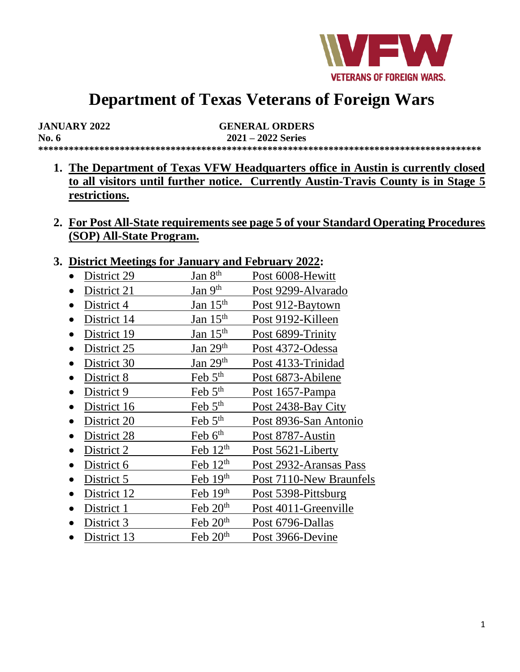

# **Department of Texas Veterans of Foreign Wars**

| <b>JANUARY 2022</b> | <b>GENERAL ORDERS</b> |
|---------------------|-----------------------|
| No. $6$             | $2021 - 2022$ Series  |
|                     |                       |

- **1. The Department of Texas VFW Headquarters office in Austin is currently closed to all visitors until further notice. Currently Austin-Travis County is in Stage 5 restrictions.**
- **2. For Post All-State requirements see page 5 of your Standard Operating Procedures (SOP) All-State Program.**

#### **3. District Meetings for January and February 2022:**

- District 29 Jan  $8<sup>th</sup>$  Post 6008-Hewitt
- District 21 Jan  $9<sup>th</sup>$  Post 9299-Alvarado
- District 4 Jan  $15<sup>th</sup>$  Post 912-Baytown
- District 14 Jan  $15<sup>th</sup>$  Post 9192-Killeen
- District 19 Jan  $15<sup>th</sup>$  Post 6899-Trinity
- District  $25$  Jan  $29<sup>th</sup>$  Post 4372-Odessa
- District 30 Jan  $29<sup>th</sup>$  Post 4133-Trinidad
- District 8 Feb  $5<sup>th</sup>$  Post 6873-Abilene
- District 9 Feb  $5<sup>th</sup>$  Post 1657-Pampa
- District 16 Feb  $5<sup>th</sup>$  Post 2438-Bay City
- District 20 Feb  $5<sup>th</sup>$  Post 8936-San Antonio
- District 28 Feb  $6<sup>th</sup>$  Post 8787-Austin
- District 2 Feb  $12<sup>th</sup>$  Post 5621-Liberty
- District 6 Feb  $12<sup>th</sup>$  Post 2932-Aransas Pass
- District 5 Feb  $19<sup>th</sup>$  Post 7110-New Braunfels
- District 12 Feb 19th Post 5398-Pittsburg
- District 1 Feb  $20<sup>th</sup>$  Post 4011-Greenville
- District 3 Feb  $20<sup>th</sup>$  Post 6796-Dallas
- District 13 Feb  $20<sup>th</sup>$  Post 3966-Devine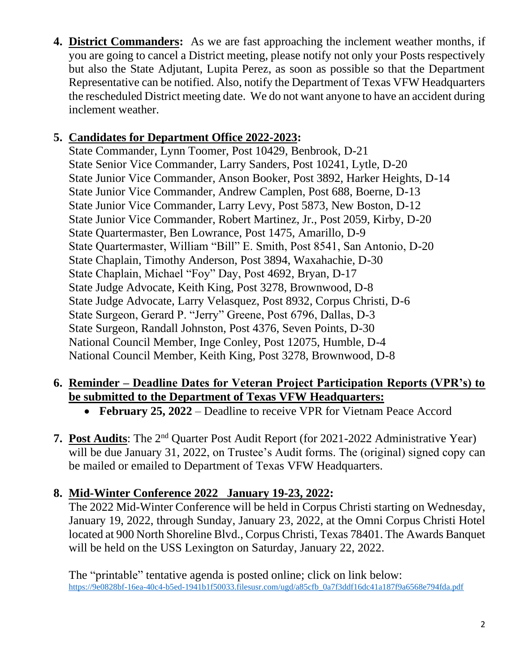**4. District Commanders:** As we are fast approaching the inclement weather months, if you are going to cancel a District meeting, please notify not only your Posts respectively but also the State Adjutant, Lupita Perez, as soon as possible so that the Department Representative can be notified. Also, notify the Department of Texas VFW Headquarters the rescheduled District meeting date. We do not want anyone to have an accident during inclement weather.

## **5. Candidates for Department Office 2022-2023:**

State Commander, Lynn Toomer, Post 10429, Benbrook, D-21 State Senior Vice Commander, Larry Sanders, Post 10241, Lytle, D-20 State Junior Vice Commander, Anson Booker, Post 3892, Harker Heights, D-14 State Junior Vice Commander, Andrew Camplen, Post 688, Boerne, D-13 State Junior Vice Commander, Larry Levy, Post 5873, New Boston, D-12 State Junior Vice Commander, Robert Martinez, Jr., Post 2059, Kirby, D-20 State Quartermaster, Ben Lowrance, Post 1475, Amarillo, D-9 State Quartermaster, William "Bill" E. Smith, Post 8541, San Antonio, D-20 State Chaplain, Timothy Anderson, Post 3894, Waxahachie, D-30 State Chaplain, Michael "Foy" Day, Post 4692, Bryan, D-17 State Judge Advocate, Keith King, Post 3278, Brownwood, D-8 State Judge Advocate, Larry Velasquez, Post 8932, Corpus Christi, D-6 State Surgeon, Gerard P. "Jerry" Greene, Post 6796, Dallas, D-3 State Surgeon, Randall Johnston, Post 4376, Seven Points, D-30 National Council Member, Inge Conley, Post 12075, Humble, D-4 National Council Member, Keith King, Post 3278, Brownwood, D-8

#### **6. Reminder – Deadline Dates for Veteran Project Participation Reports (VPR's) to be submitted to the Department of Texas VFW Headquarters:**

- **February 25, 2022**  Deadline to receive VPR for Vietnam Peace Accord
- 7. Post Audits: The 2<sup>nd</sup> Quarter Post Audit Report (for 2021-2022 Administrative Year) will be due January 31, 2022, on Trustee's Audit forms. The (original) signed copy can be mailed or emailed to Department of Texas VFW Headquarters.

## **8. Mid-Winter Conference 2022 January 19-23, 2022:**

The 2022 Mid-Winter Conference will be held in Corpus Christi starting on Wednesday, January 19, 2022, through Sunday, January 23, 2022, at the Omni Corpus Christi Hotel located at 900 North Shoreline Blvd., Corpus Christi, Texas 78401. The Awards Banquet will be held on the USS Lexington on Saturday, January 22, 2022.

The "printable" tentative agenda is posted online; click on link below: [https://9e0828bf-16ea-40c4-b5ed-1941b1f50033.filesusr.com/ugd/a85cfb\\_0a7f3ddf16dc41a187f9a6568e794fda.pdf](https://9e0828bf-16ea-40c4-b5ed-1941b1f50033.filesusr.com/ugd/a85cfb_0a7f3ddf16dc41a187f9a6568e794fda.pdf)